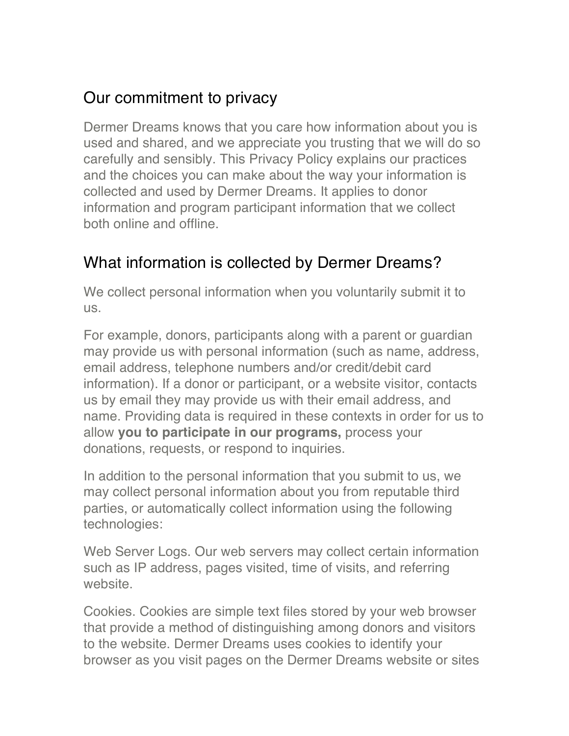# Our commitment to privacy

Dermer Dreams knows that you care how information about you is used and shared, and we appreciate you trusting that we will do so carefully and sensibly. This Privacy Policy explains our practices and the choices you can make about the way your information is collected and used by Dermer Dreams. It applies to donor information and program participant information that we collect both online and offline.

# What information is collected by Dermer Dreams?

We collect personal information when you voluntarily submit it to us.

For example, donors, participants along with a parent or guardian may provide us with personal information (such as name, address, email address, telephone numbers and/or credit/debit card information). If a donor or participant, or a website visitor, contacts us by email they may provide us with their email address, and name. Providing data is required in these contexts in order for us to allow **you to participate in our programs,** process your donations, requests, or respond to inquiries.

In addition to the personal information that you submit to us, we may collect personal information about you from reputable third parties, or automatically collect information using the following technologies:

Web Server Logs. Our web servers may collect certain information such as IP address, pages visited, time of visits, and referring website.

Cookies. Cookies are simple text files stored by your web browser that provide a method of distinguishing among donors and visitors to the website. Dermer Dreams uses cookies to identify your browser as you visit pages on the Dermer Dreams website or sites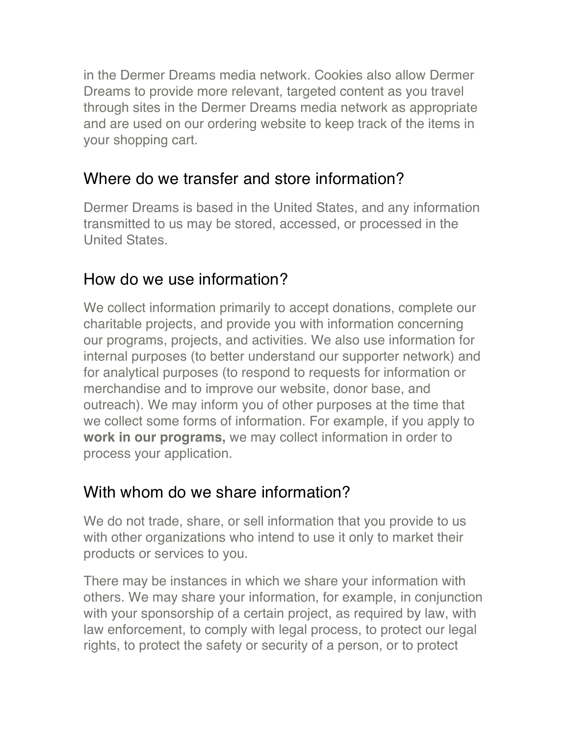in the Dermer Dreams media network. Cookies also allow Dermer Dreams to provide more relevant, targeted content as you travel through sites in the Dermer Dreams media network as appropriate and are used on our ordering website to keep track of the items in your shopping cart.

#### Where do we transfer and store information?

Dermer Dreams is based in the United States, and any information transmitted to us may be stored, accessed, or processed in the United States.

# How do we use information?

We collect information primarily to accept donations, complete our charitable projects, and provide you with information concerning our programs, projects, and activities. We also use information for internal purposes (to better understand our supporter network) and for analytical purposes (to respond to requests for information or merchandise and to improve our website, donor base, and outreach). We may inform you of other purposes at the time that we collect some forms of information. For example, if you apply to **work in our programs,** we may collect information in order to process your application.

## With whom do we share information?

We do not trade, share, or sell information that you provide to us with other organizations who intend to use it only to market their products or services to you.

There may be instances in which we share your information with others. We may share your information, for example, in conjunction with your sponsorship of a certain project, as required by law, with law enforcement, to comply with legal process, to protect our legal rights, to protect the safety or security of a person, or to protect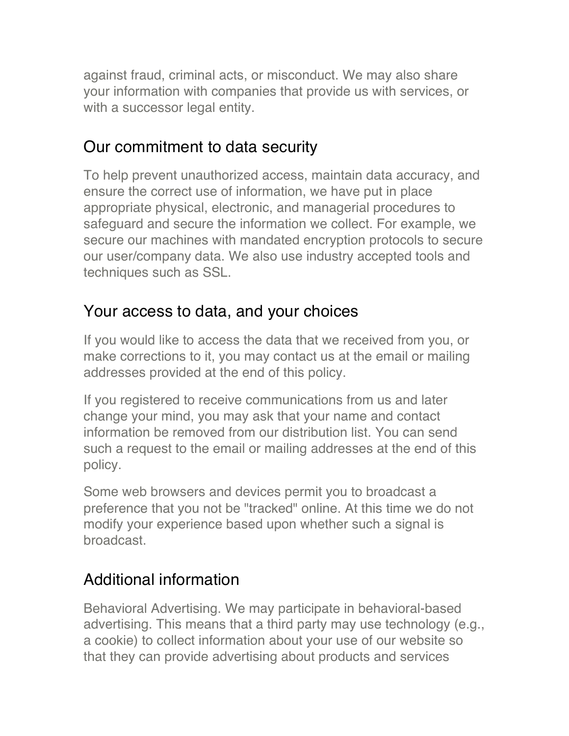against fraud, criminal acts, or misconduct. We may also share your information with companies that provide us with services, or with a successor legal entity.

## Our commitment to data security

To help prevent unauthorized access, maintain data accuracy, and ensure the correct use of information, we have put in place appropriate physical, electronic, and managerial procedures to safeguard and secure the information we collect. For example, we secure our machines with mandated encryption protocols to secure our user/company data. We also use industry accepted tools and techniques such as SSL.

#### Your access to data, and your choices

If you would like to access the data that we received from you, or make corrections to it, you may contact us at the email or mailing addresses provided at the end of this policy.

If you registered to receive communications from us and later change your mind, you may ask that your name and contact information be removed from our distribution list. You can send such a request to the email or mailing addresses at the end of this policy.

Some web browsers and devices permit you to broadcast a preference that you not be "tracked" online. At this time we do not modify your experience based upon whether such a signal is broadcast.

# Additional information

Behavioral Advertising. We may participate in behavioral-based advertising. This means that a third party may use technology (e.g., a cookie) to collect information about your use of our website so that they can provide advertising about products and services